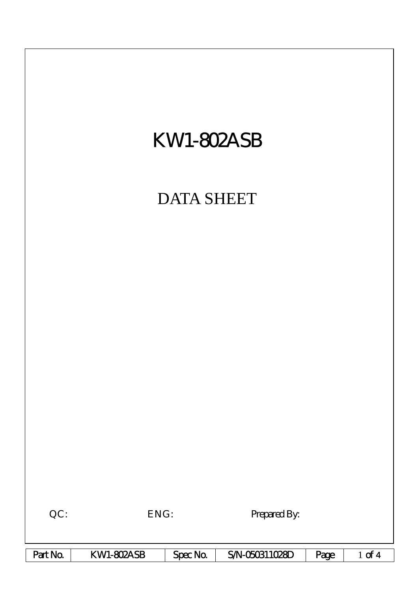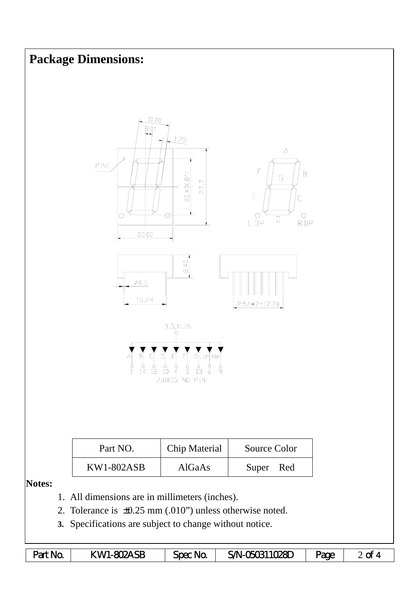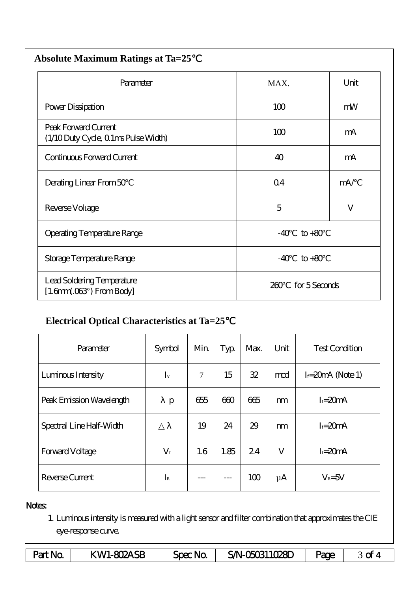| <b>Absolute Maximum Ratings at Ta=25</b>                            |            |               |  |  |  |
|---------------------------------------------------------------------|------------|---------------|--|--|--|
| Parameter                                                           | MAX.       | Unit          |  |  |  |
| Power Dissipation                                                   | 100        | mW            |  |  |  |
| Peak Forward Current<br>(1/10 Duty Cycle, 0 1ms Pulse Width)        | 100        | mA            |  |  |  |
| Continuous Forward Current                                          | 40         | mA            |  |  |  |
| Derating Linear From 50                                             | $\Omega$ 4 | mA/           |  |  |  |
| Reverse Voltage                                                     | 5          | $\mathbf{V}$  |  |  |  |
| <b>Operating Temperature Range</b>                                  | $-40$      | $to +80$      |  |  |  |
| Storage Temperature Range                                           | $-40$      | $to +80$      |  |  |  |
| Lead Soldering Temperature<br>$[1.6mm.03$ <sup>"</sup> ) From Body] | 260        | for 5 Seconds |  |  |  |

## **Electrical Optical Characteristics at Ta=25**℃

| Parameter                | Symbol      | Min    | Typ  | Max. | Unit    | <b>Test Condition</b> |
|--------------------------|-------------|--------|------|------|---------|-----------------------|
| Luninous Intensity       | $I_{v}$     | $\tau$ | 15   | 32   | mod     | $I = 20$ mA (Note 1)  |
| Peak Emission Wavelength | p           | 655    | 600  | 665  | m       | $I = 20mA$            |
| Spectral Line Half-Width |             | 19     | 24   | 29   | m       | $I = 20mA$            |
| <b>Forward Voltage</b>   | $V_{\rm f}$ | 1.6    | 1.85 | 24   | V       | $I = 20mA$            |
| Reverse Current          | $I_{R}$     |        | ---  | 100  | $\mu$ A | $V_R = 5V$            |

## Notes:

1. Luminous intensity is measured with a light sensor and filter combination that approximates the CIE eye-response curve.